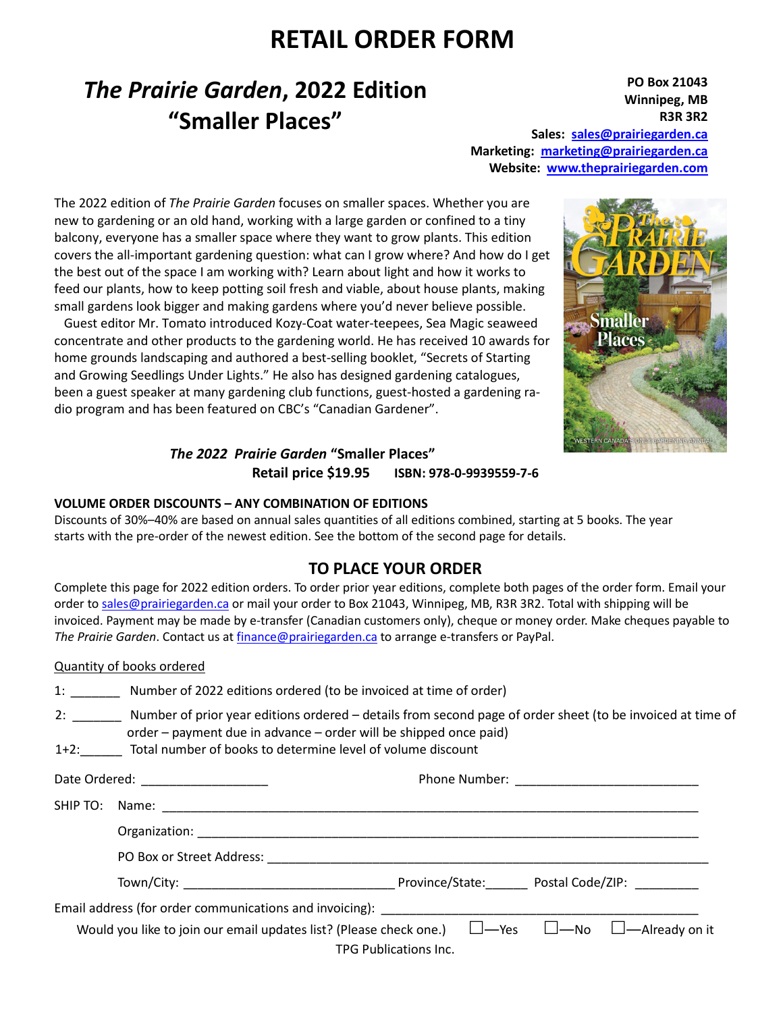## **RETAIL ORDER FORM**

# *The Prairie Garden***, 2022 Edition "Smaller Places"**

**PO Box 21043 Winnipeg, MB R3R 3R2 Sales: sales@prairiegarden.ca Marketing: marketing@prairiegarden.ca Website: www.theprairiegarden.com** 

The 2022 edition of *The Prairie Garden* focuses on smaller spaces. Whether you are new to gardening or an old hand, working with a large garden or confined to a tiny balcony, everyone has a smaller space where they want to grow plants. This edition covers the all-important gardening question: what can I grow where? And how do I get the best out of the space I am working with? Learn about light and how it works to feed our plants, how to keep potting soil fresh and viable, about house plants, making small gardens look bigger and making gardens where you'd never believe possible.

 Guest editor Mr. Tomato introduced Kozy-Coat water-teepees, Sea Magic seaweed concentrate and other products to the gardening world. He has received 10 awards for home grounds landscaping and authored a best-selling booklet, "Secrets of Starting and Growing Seedlings Under Lights." He also has designed gardening catalogues, been a guest speaker at many gardening club functions, guest-hosted a gardening radio program and has been featured on CBC's "Canadian Gardener".



## *The 2022 Prairie Garden* **"Smaller Places" Retail price \$19.95 ISBN: 978-0-9939559-7-6**

#### **VOLUME ORDER DISCOUNTS – ANY COMBINATION OF EDITIONS**

Discounts of 30%–40% are based on annual sales quantities of all editions combined, starting at 5 books. The year starts with the pre-order of the newest edition. See the bottom of the second page for details.

### **TO PLACE YOUR ORDER**

Complete this page for 2022 edition orders. To order prior year editions, complete both pages of the order form. Email your order to sales@prairiegarden.ca or mail your order to Box 21043, Winnipeg, MB, R3R 3R2. Total with shipping will be invoiced. Payment may be made by e-transfer (Canadian customers only), cheque or money order. Make cheques payable to *The Prairie Garden*. Contact us at finance@prairiegarden.ca to arrange e-transfers or PayPal.

|  | Quantity of books ordered |                                                                                                                                                                                                                                                        |  |  |
|--|---------------------------|--------------------------------------------------------------------------------------------------------------------------------------------------------------------------------------------------------------------------------------------------------|--|--|
|  |                           | 1: Number of 2022 editions ordered (to be invoiced at time of order)                                                                                                                                                                                   |  |  |
|  |                           | 2: Number of prior year editions ordered – details from second page of order sheet (to be invoiced at time of<br>order - payment due in advance - order will be shipped once paid)<br>1+2: Total number of books to determine level of volume discount |  |  |
|  |                           |                                                                                                                                                                                                                                                        |  |  |
|  |                           |                                                                                                                                                                                                                                                        |  |  |
|  |                           |                                                                                                                                                                                                                                                        |  |  |
|  |                           |                                                                                                                                                                                                                                                        |  |  |
|  |                           |                                                                                                                                                                                                                                                        |  |  |
|  |                           | Would you like to join our email updates list? (Please check one.) $\Box$ —Yes $\Box$ —No $\Box$ —Already on it<br>TPG Publications Inc.                                                                                                               |  |  |